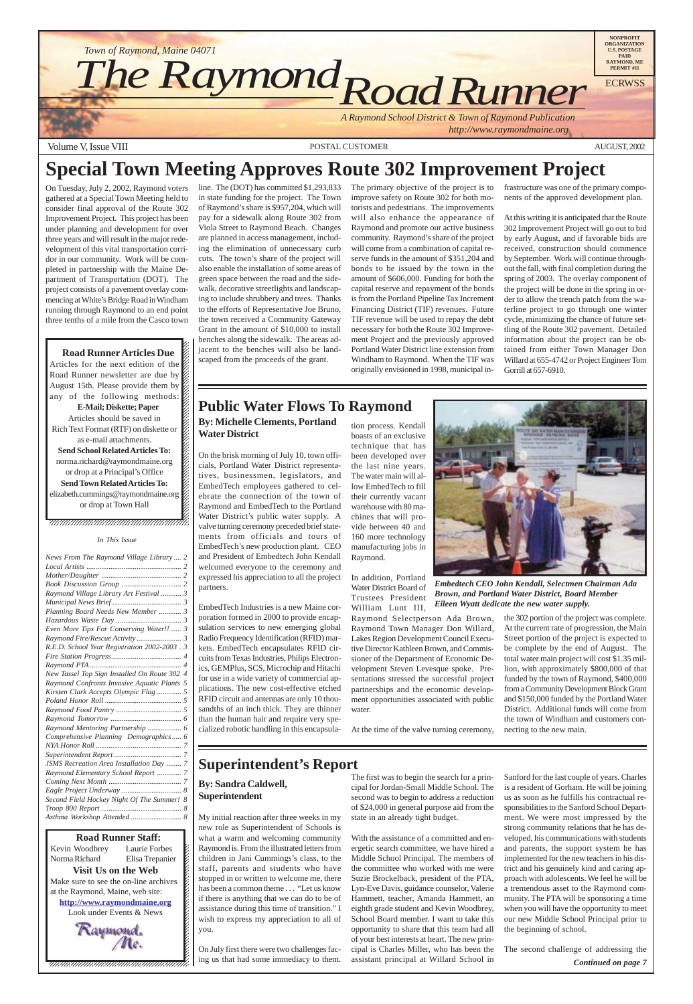$18.1$  $18.8$  8  $18.8$  8  $18.8$  8  $18.8$  8  $18.8$  8  $18.8$  8  $18.8$  8  $18.8$  8  $18.8$  8  $18.8$  8  $18.8$  8  $18.8$  8  $18.8$  8  $18.8$  8  $18.8$  8  $18.8$  8  $18.8$  8  $18.8$  8  $18.8$  8  $18.8$  8  $18.8$  8  $18.8$  8  $18.8$  8  $18.8$  8  $18.8$ 12345678901234567890123456789012123456789012345678 12345678901234567890123456789012123456789012345678 12345678901234567890123456789012123456789012345678 12345678901234567890123456789012123456789012345678 12345678901234567890123456789012123456789012345678



12345678901234567890123456789012345678901234567890123456789012345678901234567890123456789012345678901234567890 12345678901234567890123456789012123456789012345678 Kevin Woodbrey Laurie Forbes  $\boldsymbol{\xi}$ Norma Richard Elisa Trepanier  $\blacksquare$ **Visit Us on the Web** 12345678901234567890123456789012123456789012345678 Make sure to see the on-line archives  $\mathcal{L}$ 12345678901234567890123456789012123456789012345678 at the Raymond, Maine, web site:  $\mathcal{L}$ **http://www.raymondmaine.org** 12345678901234567890123456789012123456789012345678 Look under Events & News  $\mathcal{L}$  $123$  $18.8$  8  $18.8$  8  $18.8$  8  $18.8$  8  $18.8$  8  $18.8$  8  $18.8$  8  $18.8$  8  $18.8$  8  $18.8$  8  $18.8$  8  $18.8$  8  $18.8$  8  $18.8$  8  $18.8$  8  $18.8$  8  $18.8$  8  $18.8$  8  $18.8$  8  $18.8$  8  $18.8$  8  $18.8$  8  $18.8$  8  $18.8$  8  $18.8$ Raymond, **Road Runner Staff:**

### **Public Water Flows To Raymond**

# **Special Town Meeting Approves Route 302 Improvement Project**

### **Superintendent's Report**

**By: Sandra Caldwell, Superintendent**

My initial reaction after three weeks in my new role as Superintendent of Schools is what a warm and welcoming community Raymond is. From the illustrated letters from children in Jani Cummings's class, to the staff, parents and students who have stopped in or written to welcome me, there has been a common theme . . . "Let us know if there is anything that we can do to be of assistance during this time of transition." I wish to express my appreciation to all of you.

On July first there were two challenges facing us that had some immediacy to them.

The first was to begin the search for a principal for Jordan-Small Middle School. The second was to begin to address a reduction of \$24,000 in general purpose aid from the state in an already tight budget.

With the assistance of a committed and energetic search committee, we have hired a Middle School Principal. The members of the committee who worked with me were Suzie Brockelback, president of the PTA, Lyn-Eve Davis, guidance counselor, Valerie Hammett, teacher, Amanda Hammett, an eighth grade student and Kevin Woodbrey, School Board member. I want to take this opportunity to share that this team had all of your best interests at heart. The new principal is Charles Miller, who has been the assistant principal at Willard School in

Sanford for the last couple of years. Charles is a resident of Gorham. He will be joining us as soon as he fulfills his contractual responsibilities to the Sanford School Department. We were most impressed by the strong community relations that he has developed, his communications with students and parents, the support system he has implemented for the new teachers in his district and his genuinely kind and caring approach with adolescents. We feel he will be a tremendous asset to the Raymond community. The PTA will be sponsoring a time when you will have the opportunity to meet our new Middle School Principal prior to the beginning of school.

#### **By: Michelle Clements, Portland Water District**

On the brisk morning of July 10, town officials, Portland Water District representatives, businessmen, legislators, and EmbedTech employees gathered to celebrate the connection of the town of Raymond and EmbedTech to the Portland Water District's public water supply. A valve turning ceremony preceded brief statements from officials and tours of EmbedTech's new production plant. CEO and President of Embedtech John Kendall welcomed everyone to the ceremony and expressed his appreciation to all the project partners.

EmbedTech Industries is a new Maine corporation formed in 2000 to provide encapsulation services to new emerging global Radio Frequency Identification (RFID) markets. EmbedTech encapsulates RFID circuits from Texas Industries, Philips Electronics, GEMPlus, SCS, Microchip and Hitachi for use in a wide variety of commercial applications. The new cost-effective etched RFID circuit and antennas are only 10 thousandths of an inch thick. They are thinner than the human hair and require very specialized robotic handling in this encapsula-

#### tion process. Kendall boasts of an exclusive technique that has been developed over the last nine years. The water main will allow EmbedTech to fill their currently vacant warehouse with 80 machines that will provide between 40 and 160 more technology manufacturing jobs in Raymond.

In addition, Portland Water District Board of Trustees President William Lunt III,

Raymond Selectperson Ada Brown, Raymond Town Manager Don Willard, Lakes Region Development Council Executive Director Kathleen Brown, and Commissioner of the Department of Economic Development Steven Levesque spoke. Presentations stressed the successful project partnerships and the economic development opportunities associated with public water.

At the time of the valve turning ceremony,

the 302 portion of the project was complete. At the current rate of progression, the Main Street portion of the project is expected to be complete by the end of August. The total water main project will cost \$1.35 million, with approximately \$800,000 of that funded by the town of Raymond, \$400,000 from a Community Development Block Grant and \$150,000 funded by the Portland Water District. Additional funds will come from the town of Windham and customers connecting to the new main.

The second challenge of addressing the *Continued on page 7*

On Tuesday, July 2, 2002, Raymond voters gathered at a Special Town Meeting held to consider final approval of the Route 302 Improvement Project. This project has been under planning and development for over three years and will result in the major redevelopment of this vital transportation corridor in our community. Work will be completed in partnership with the Maine Department of Transportation (DOT). The project consists of a pavement overlay commencing at White's Bridge Road in Windham running through Raymond to an end point three tenths of a mile from the Casco town

### **Road Runner Articles Due**

12345678901234567890123456789012345678901234567890123456789012345678901234567890123456789012345678901234567890 12345678901234567890123456789012123456789012345678  $1235678901234567890123456789012345678901234567890123456789012345678901234567890123456789012345678901234567890123456789012345678901234567890123456789012345678901234567890123456789012345678901234567890123456789012345678901$ 

Articles for the next edition of the  $\mathbb Z$  $1235678901234587890123456789012345678901234567890123456789012345678901234567890123456789012345678901234567890123456789012345678901234567890123456789012345678901234567890123456789012345678901234567890123456789012345678901$ Road Runner newsletter are due by  $\%$ August 15th. Please provide them by 12345678901234567890123456789012123456789012345678 any of the following methods:  $\mathscr{L}$  $123567890$ **E-Mail; Diskette; Paper** Articles should be saved in Rich Text Format (RTF) on diskette or  $\mathbb Z$  $1235678901234567890123456789012345678901234567890123456789012345678901234567890123456789012345678901234567890123456789012345678901234567890123456789012345678901234567890123456789012345678901234567890123456789012345678901$ as e-mail attachments.  $1235678901234587890123456789012345678901234567890123456789012345678901234567890123456789012345678901234567890123456789012345678901234567890123456789012345678901234567890123456789012345678901234567890123456789012345678901$ **Send School Related Articles To:** 12345678901234567890123456789012123456789012345678 norma.richard@raymondmaine.org 12345678901234567890123456789012123456789012345678 or drop at a Principal's Office  $\mathbb{Z}$  $1235678901234567890123456789012345678901234567890123456789012345678901234567890123456789012345678901234567890123456789012345678901234567890123456789012345678901234567890123456789012345678901234567890123456789012345678901$ **Send Town Related Articles To:** elizabeth.cummings@raymondmaine.org or drop at Town Hall  $1235678901234567890123456789012345678901234567890123456789012345678901234567890123456789012345678901234567890123456789012345678901234567890123456789012345678901234567890123456789012345678901234567890123456789012345678901$  $1235678901234587890123456789012345678901234567890123456789012345678901234567890123456789012345678901234567890123456789012345678901234567890123456789012345678901234567890123456789012345678901234567890123456789012345678901$ 

#### , 1234567891234567891234567891234567891234567891234578

line. The (DOT) has committed \$1,293,833 in state funding for the project. The Town of Raymond's share is \$957,204, which will pay for a sidewalk along Route 302 from Viola Street to Raymond Beach. Changes are planned in access management, including the elimination of unnecessary curb cuts. The town's share of the project will also enable the installation of some areas of green space between the road and the sidewalk, decorative streetlights and landscaping to include shrubbery and trees. Thanks to the efforts of Representative Joe Bruno, the town received a Community Gateway Grant in the amount of \$10,000 to install benches along the sidewalk. The areas adjacent to the benches will also be landscaped from the proceeds of the grant.

The primary objective of the project is to improve safety on Route 302 for both motorists and pedestrians. The improvements will also enhance the appearance of Raymond and promote our active business community. Raymond's share of the project will come from a combination of capital reserve funds in the amount of \$351,204 and bonds to be issued by the town in the amount of \$606,000. Funding for both the capital reserve and repayment of the bonds is from the Portland Pipeline Tax Increment Financing District (TIF) revenues. Future TIF revenue will be used to repay the debt necessary for both the Route 302 Improvement Project and the previously approved Portland Water District line extension from Windham to Raymond. When the TIF was originally envisioned in 1998, municipal infrastructure was one of the primary components of the approved development plan.

At this writing it is anticipated that the Route 302 Improvement Project will go out to bid by early August, and if favorable bids are received, construction should commence by September. Work will continue throughout the fall, with final completion during the spring of 2003. The overlay component of the project will be done in the spring in order to allow the trench patch from the waterline project to go through one winter cycle, minimizing the chance of future settling of the Route 302 pavement. Detailed information about the project can be obtained from either Town Manager Don Willard at 655-4742 or Project Engineer Tom Gorrill at 657-6910.



*Embedtech CEO John Kendall, Selectmen Chairman Ada Brown, and Portland Water District, Board Member Eileen Wyatt dedicate the new water supply.*

#### *In This Issue*

 $1235678901234587890123456789012345678901234567890123456789012345678901234567890123456789012345678901234567890123456789012345678901234567890123456789012345678901234567890123456789012345678901234567890123456789012345678901$  $\blacksquare$ 

| News From The Raymond Village Library 2         |
|-------------------------------------------------|
|                                                 |
|                                                 |
|                                                 |
| Raymond Village Library Art Festival  3         |
|                                                 |
| Planning Board Needs New Member  3              |
|                                                 |
| Even More Tips For Conserving Water!! 3         |
|                                                 |
| R.E.D. School Year Registration 2002-2003.3     |
|                                                 |
|                                                 |
| New Tassel Top Sign Installed On Route 302 4    |
| Raymond Confronts Invasive Aquatic Plants 5     |
| Kirsten Clark Accepts Olympic Flag  5           |
|                                                 |
|                                                 |
|                                                 |
| Raymond Mentoring Partnership  6                |
| Comprehensive Planning Demographics 6           |
|                                                 |
|                                                 |
| <b>JSMS</b> Recreation Area Installation Day  7 |
| Raymond Elementary School Report  7             |
|                                                 |
|                                                 |
| Second Field Hockey Night Of The Summer! 8      |
|                                                 |
| Asthma Workshop Attended  8                     |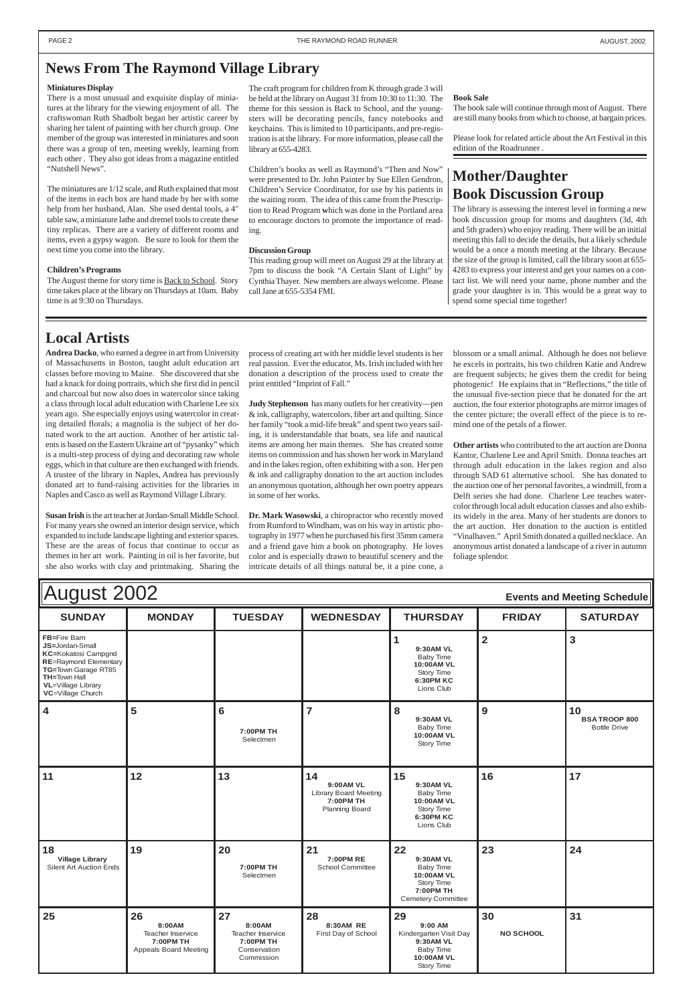| August 2002<br><b>Events and Meeting Schedule</b>                                                                                                                                                     |               |                             |                  |                                                                               |               |                                                   |
|-------------------------------------------------------------------------------------------------------------------------------------------------------------------------------------------------------|---------------|-----------------------------|------------------|-------------------------------------------------------------------------------|---------------|---------------------------------------------------|
| <b>SUNDAY</b>                                                                                                                                                                                         | <b>MONDAY</b> | <b>TUESDAY</b>              | <b>WEDNESDAY</b> | <b>THURSDAY</b>                                                               | <b>FRIDAY</b> | <b>SATURDAY</b>                                   |
| FB=Fire Barn<br><b>JS=Jordan-Small</b><br><b>KC=Kokatosi Campgnd</b><br><b>RE=Raymond Elementary</b><br>TG=Town Garage RT85<br><b>TH=Town Hall</b><br><b>VL</b> =Village Library<br>VC=Village Church |               |                             |                  | 9:30AM VL<br>Baby Time<br>10:00AM VL<br>Story Time<br>6:30PM KC<br>Lions Club |               | З                                                 |
| 4                                                                                                                                                                                                     | 5             | 6<br>7:00PM TH<br>Selectmen |                  | 8<br>9:30AM VL<br>Baby Time<br>10:00AM VL<br>Story Time                       | 9             | 10<br><b>BSA TROOP 800</b><br><b>Bottle Drive</b> |

| 11                                                      | 12                                                                      | 13                                                                           | 14<br>9:00AM VL<br><b>Library Board Meeting</b><br>7:00PM TH<br><b>Planning Board</b> | 15<br>9:30AM VL<br>Baby Time<br>10:00AM VL<br>Story Time<br>6:30PM KC<br>Lions Club                       | 16                     | 17 |
|---------------------------------------------------------|-------------------------------------------------------------------------|------------------------------------------------------------------------------|---------------------------------------------------------------------------------------|-----------------------------------------------------------------------------------------------------------|------------------------|----|
| 18<br><b>Village Library</b><br>Silent Art Auction Ends | 19                                                                      | 20<br>7:00PM TH<br>Selectmen                                                 | 21<br><b>7:00PM RE</b><br><b>School Committee</b>                                     | 22<br>9:30AM VL<br><b>Baby Time</b><br>10:00AM VL<br>Story Time<br>7:00PM TH<br><b>Cemetery Committee</b> | 23                     | 24 |
| 25                                                      | 26<br>8:00AM<br>Teacher Inservice<br>7:00PM TH<br>Appeals Board Meeting | 27<br>8:00AM<br>Teacher Inservice<br>7:00PM TH<br>Conservation<br>Commission | 28<br>8:30AM RE<br>First Day of School                                                | 29<br>9:00 AM<br>Kindergarten Visit Day<br>9:30AM VL<br>Baby Time<br>10:00AM VL<br>Story Time             | 30<br><b>NO SCHOOL</b> | 31 |

The August theme for story time is **Back to School**. Story time takes place at the library on Thursdays at 10am. Baby time is at 9:30 on Thursdays.

### <span id="page-1-0"></span>**News From The Raymond Village Library**

#### **Miniatures Display**

There is a most unusual and exquisite display of miniatures at the library for the viewing enjoyment of all. The craftswoman Ruth Shadbolt began her artistic career by sharing her talent of painting with her church group. One member of the group was interested in miniatures and soon there was a group of ten, meeting weekly, learning from each other . They also got ideas from a magazine entitled "Nutshell News".

The miniatures are 1/12 scale, and Ruth explained that most of the items in each box are hand made by her with some help from her husband, Alan. She used dental tools, a 4" table saw, a miniature lathe and dremel tools to create these tiny replicas. There are a variety of different rooms and items, even a gypsy wagon. Be sure to look for them the next time you come into the library.

#### **Children's Programs**

The craft program for children from K through grade 3 will be held at the library on August 31 from 10:30 to 11:30. The theme for this session is Back to School, and the youngsters will be decorating pencils, fancy notebooks and keychains. This is limited to 10 participants, and pre-registration is at the library. For more information, please call the library at 655-4283.

Children's books as well as Raymond's "Then and Now" were presented to Dr. John Painter by Sue Ellen Gendron, Children's Service Coordinator, for use by his patients in the waiting room. The idea of this came from the Prescription to Read Program **w**hich was done in the Portland area to encourage doctors to promote the importance of reading.

#### **Discussion Group**

This reading group will meet on August 29 at the library at 7pm to discuss the book "A Certain Slant of Light" by Cynthia Thayer. New members are always welcome. Please call Jane at 655-5354 FMI.

### **Local Artists**

**Andrea Dacko**, who earned a degree in art from University of Massachusetts in Boston, taught adult education art classes before moving to Maine. She discovered that she had a knack for doing portraits, which she first did in pencil and charcoal but now also does in watercolor since taking a class through local adult education with Charlene Lee six years ago. She especially enjoys using watercolor in creating detailed florals; a magnolia is the subject of her donated work to the art auction. Another of her artistic talents is based on the Eastern Ukraine art of "pysanky" which is a multi-step process of dying and decorating raw whole eggs, which in that culture are then exchanged with friends. A trustee of the library in Naples, Andrea has previously donated art to fund-raising activities for the libraries in Naples and Casco as well as Raymond Village Library.

**Susan Irish** is the art teacher at Jordan-Small Middle School. For many years she owned an interior design service, which expanded to include landscape lighting and exterior spaces. These are the areas of focus that continue to occur as themes in her art work. Painting in oil is her favorite, but she also works with clay and printmaking. Sharing the

### **Mother/Daughter Book Discussion Group**

The library is assessing the interest level in forming a new book discussion group for moms and daughters (3d, 4th and 5th graders) who enjoy reading. There will be an initial meeting this fall to decide the details, but a likely schedule would be a once a month meeting at the library. Because the size of the group is limited, call the library soon at 655- 4283 to express your interest and get your names on a contact list. We will need your name, phone number and the grade your daughter is in. This would be a great way to spend some special time together!

#### **Book Sale**

The book sale will continue through most of August. There are still many books from which to choose, at bargain prices.

Please look for related article about the Art Festival in this edition of the Roadrunner .

process of creating art with her middle level students is her real passion. Ever the educator, Ms. Irish included with her donation a description of the process used to create the print entitled "Imprint of Fall."

**Judy Stephenson** has many outlets for her creativity—pen & ink, calligraphy, watercolors, fiber art and quilting. Since her family "took a mid-life break" and spent two years sailing, it is understandable that boats, sea life and nautical items are among her main themes. She has created some items on commission and has shown her work in Maryland and in the lakes region, often exhibiting with a son. Her pen & ink and calligraphy donation to the art auction includes an anonymous quotation, although her own poetry appears in some of her works.

**Dr. Mark Wasowski**, a chiropractor who recently moved from Rumford to Windham, was on his way in artistic photography in 1977 when he purchased his first 35mm camera and a friend gave him a book on photography. He loves color and is especially drawn to beautiful scenery and the intricate details of all things natural be, it a pine cone, a

blossom or a small animal. Although he does not believe he excels in portraits, his two children Katie and Andrew are frequent subjects; he gives them the credit for being photogenic! He explains that in "Reflections," the title of the unusual five-section piece that he donated for the art auction, the four exterior photographs are mirror images of the center picture; the overall effect of the piece is to remind one of the petals of a flower.

**Other artists** who contributed to the art auction are Donna Kantor, Charlene Lee and April Smith. Donna teaches art through adult education in the lakes region and also through SAD 61 alternative school. She has donated to the auction one of her personal favorites, a windmill, from a Delft series she had done. Charlene Lee teaches watercolor through local adult education classes and also exhibits widely in the area. Many of her students are donors to the art auction. Her donation to the auction is entitled "Vinalhaven." April Smith donated a quilled necklace. An anonymous artist donated a landscape of a river in autumn foliage splendor.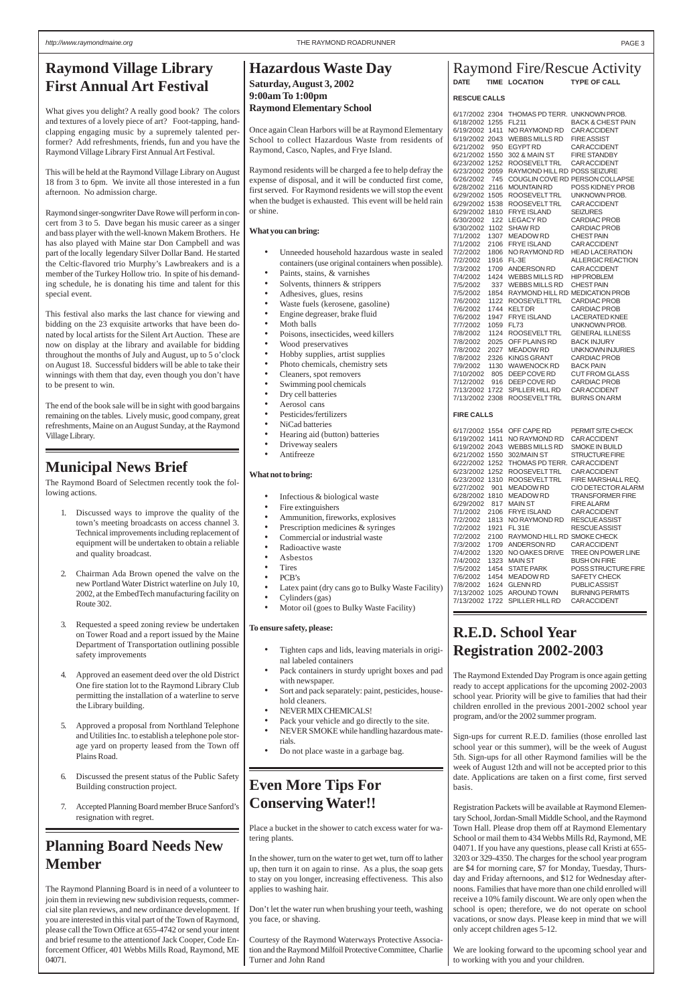### <span id="page-2-0"></span>**Raymond Village Library First Annual Art Festival**

What gives you delight? A really good book? The colors and textures of a lovely piece of art? Foot-tapping, handclapping engaging music by a supremely talented performer? Add refreshments, friends, fun and you have the Raymond Village Library First Annual Art Festival.

This will be held at the Raymond Village Library on August 18 from 3 to 6pm. We invite all those interested in a fun afternoon. No admission charge.

Raymond singer-songwriter Dave Rowe will perform in concert from 3 to 5. Dave began his music career as a singer and bass player with the well-known Makem Brothers. He has also played with Maine star Don Campbell and was part of the locally legendary Silver Dollar Band. He started the Celtic-flavored trio Murphy's Lawbreakers and is a member of the Turkey Hollow trio. In spite of his demanding schedule, he is donating his time and talent for this special event.

This festival also marks the last chance for viewing and bidding on the 23 exquisite artworks that have been donated by local artists for the Silent Art Auction. These are now on display at the library and available for bidding throughout the months of July and August, up to 5 o'clock on August 18. Successful bidders will be able to take their winnings with them that day, even though you don't have to be present to win.

The end of the book sale will be in sight with good bargains remaining on the tables. Lively music, good company, great refreshments, Maine on an August Sunday, at the Raymond Village Library.

#### Raymond Fire/Rescue Activity **DATE TIME LOCATION TYPE OF CALL**

#### **RESCUE CALLS**

| 6/17/2002 2304       |      | THOMAS PD TERR. UNKNOWN PROB.                |                                           |
|----------------------|------|----------------------------------------------|-------------------------------------------|
| 6/18/2002 1255       |      | FL211                                        | <b>BACK &amp; CHEST PAIN</b>              |
| 6/19/2002 1411       |      | NO RAYMOND RD                                | <b>CAR ACCIDENT</b>                       |
| 6/19/2002 2043       |      | WEBBS MILLS RD                               | <b>FIRE ASSIST</b>                        |
| 6/21/2002            | 950  | <b>EGYPT RD</b>                              | <b>CAR ACCIDENT</b>                       |
| 6/21/2002 1550       |      | 302 & MAIN ST                                | <b>FIRE STANDBY</b>                       |
| 6/23/2002            | 1252 | <b>ROOSEVELTTRL</b>                          | CAR ACCIDENT                              |
| 6/23/2002 2059       |      | RAYMOND HILL RD POSS SEIZURE                 |                                           |
| 6/26/2002            | 745  |                                              | COUGLIN COVE RD PERSON COLLAPSE           |
| 6/28/2002            | 2116 | <b>MOUNTAIN RD</b>                           | POSS KIDNEY PROB                          |
| 6/29/2002 1505       |      | <b>ROOSEVELTTRL</b>                          | UNKNOWN PROB.                             |
| 6/29/2002            | 1538 | ROOSEVELT TRL                                | <b>CAR ACCIDENT</b>                       |
| 6/29/2002 1810       |      | <b>FRYE ISLAND</b>                           | <b>SEIZURES</b>                           |
| 6/30/2002            | 122  | LEGACY RD                                    | <b>CARDIAC PROB</b>                       |
| 6/30/2002            | 1102 | <b>SHAW RD</b>                               | <b>CARDIAC PROB</b>                       |
| 7/1/2002             | 1307 | <b>MEADOW RD</b>                             | CHEST PAIN                                |
| 7/1/2002             | 2106 | <b>FRYE ISLAND</b>                           | <b>CAR ACCIDENT</b>                       |
| 7/2/2002             | 1806 | NO RAYMOND RD                                | <b>HEAD LACERATION</b>                    |
| 7/2/2002             | 1916 | FL-3E                                        | <b>ALLERGIC REACTION</b>                  |
| 7/3/2002             | 1709 | ANDERSON RD                                  | <b>CAR ACCIDENT</b>                       |
| 7/4/2002             | 1424 | <b>WEBBS MILLS RD</b>                        | <b>HIP PROBLEM</b>                        |
| 7/5/2002             | 337  | <b>WEBBS MILLS RD</b>                        | <b>CHEST PAIN</b>                         |
| 7/5/2002             | 1854 | RAYMOND HILL RD MEDICATION PROB              |                                           |
| 7/6/2002             | 1122 | ROOSEVELT TRL                                | <b>CARDIAC PROB</b>                       |
| 7/6/2002             | 1744 | <b>KELT DR</b>                               | <b>CARDIAC PROB</b>                       |
| 7/6/2002             | 1947 | <b>FRYE ISLAND</b>                           | LACERATED KNEE                            |
| 7/7/2002             | 1059 | <b>FL73</b>                                  | UNKNOWN PROB.                             |
| 7/8/2002             | 1124 | <b>ROOSEVELTTRL</b>                          | <b>GENERAL ILLNESS</b>                    |
| 7/8/2002             | 2025 | OFF PLAINS RD                                | <b>BACK INJURY</b>                        |
| 7/8/2002             | 2027 | <b>MEADOW RD</b>                             | UNKNOWN INJURIES                          |
| 7/8/2002             | 2326 | <b>KINGS GRANT</b>                           | CARDIAC PROB                              |
| 7/9/2002             | 1130 | <b>WAWENOCK RD</b>                           | BACK PAIN                                 |
| 7/10/2002            | 805  | DEEP COVE RD                                 | CUT FROM GLASS                            |
| 7/12/2002            | 916  | DEEP COVE RD                                 | <b>CARDIAC PROB</b>                       |
| 7/13/2002            | 1722 | <b>SPILLER HILL RD</b>                       | CAR ACCIDENT                              |
| 7/13/2002 2308       |      | ROOSEVELT TRL                                | <b>BURNS ON ARM</b>                       |
|                      |      |                                              |                                           |
| <b>FIRE CALLS</b>    |      |                                              |                                           |
| 6/17/2002 1554       |      | OFF CAPE RD                                  | PERMIT SITE CHECK                         |
| 6/19/2002 1411       |      | NO RAYMOND RD                                | CAR ACCIDENT                              |
| 6/19/2002 2043       |      | <b>WEBBS MILLS RD</b>                        | SMOKE IN BUILD                            |
| 6/21/2002 1550       |      | 302/MAIN ST                                  | <b>STRUCTURE FIRE</b>                     |
| 6/22/2002 1252       |      | THOMAS PD TERR.                              | <b>CAR ACCIDENT</b>                       |
| 6/23/2002 1252       |      | ROOSEVELT TRL                                | <b>CAR ACCIDENT</b>                       |
| 6/23/2002 1310       |      | <b>ROOSEVELTTRL</b>                          | FIRE MARSHALL REQ.                        |
| 6/27/2002            | 901  | MEADOW RD                                    | C/O DETECTOR ALARM                        |
| 6/28/2002 1810       |      | <b>MEADOW RD</b>                             | <b>TRANSFORMER FIRE</b>                   |
| 6/29/2002            | 817  | <b>MAIN ST</b>                               | <b>FIRE ALARM</b>                         |
| 7/1/2002             | 2106 | <b>FRYE ISLAND</b>                           | CAR ACCIDENT                              |
| 7/2/2002             | 1813 | NO RAYMOND RD                                | <b>RESCUE ASSIST</b>                      |
|                      | 1921 |                                              | <b>RESCUE ASSIST</b>                      |
| 7/2/2002             |      | <b>FL 31E</b><br>RAYMOND HILL RD SMOKE CHECK |                                           |
| 7/2/2002<br>7/3/2002 | 2100 |                                              |                                           |
|                      | 1709 | ANDERSON RD                                  | <b>CAR ACCIDENT</b><br>TREE ON POWER LINE |
| 7/4/2002             | 1320 | NO OAKES DRIVE<br><b>MAIN ST</b>             |                                           |
| 7/4/2002             | 1323 |                                              | <b>BUSH ON FIRE</b>                       |
| 7/5/2002             | 1454 | <b>STATE PARK</b>                            | <b>POSS STRUCTURE FIRE</b>                |
| 7/6/2002             | 1454 | <b>MEADOW RD</b>                             | SAFETY CHECK                              |
| 7/8/2002             | 1624 | <b>GLENN RD</b>                              | PUBLIC ASSIST                             |
| 7/13/2002            | 1025 | AROUND TOWN                                  | <b>BURNING PERMITS</b>                    |
| 7/13/2002 1722       |      | SPILLER HILL RD                              | <b>CAR ACCIDENT</b>                       |

- Infectious & biological waste
- Fire extinguishers
- Ammunition, fireworks, explosives
- Prescription medicines & syringes
- Commercial or industrial waste
- Radioactive waste
- Asbestos
- Tires
- PCB's
- Latex paint (dry cans go to Bulky Waste Facility)
- Cylinders (gas)
- Motor oil (goes to Bulky Waste Facility)

### **Municipal News Brief**

The Raymond Board of Selectmen recently took the following actions.

- 1. Discussed ways to improve the quality of the town's meeting broadcasts on access channel 3. Technical improvements including replacement of equipment will be undertaken to obtain a reliable and quality broadcast.
- 2. Chairman Ada Brown opened the valve on the new Portland Water District waterline on July 10, 2002, at the EmbedTech manufacturing facility on Route 302.
- 3. Requested a speed zoning review be undertaken on Tower Road and a report issued by the Maine Department of Transportation outlining possible safety improvements
- 4. Approved an easement deed over the old District One fire station lot to the Raymond Library Club permitting the installation of a waterline to serve the Library building.
- 5. Approved a proposal from Northland Telephone and Utilities Inc. to establish a telephone pole storage yard on property leased from the Town off Plains Road.

- 6. Discussed the present status of the Public Safety Building construction project.
- 7. Accepted Planning Board member Bruce Sanford's resignation with regret.

### **Hazardous Waste Day Saturday, August 3, 2002 9:00am To 1:00pm Raymond Elementary School**

Once again Clean Harbors will be at Raymond Elementary School to collect Hazardous Waste from residents of Raymond, Casco, Naples, and Frye Island.

Raymond residents will be charged a fee to help defray the expense of disposal, and it will be conducted first come, first served. For Raymond residents we will stop the event when the budget is exhausted. This event will be held rain or shine.

#### **What you can bring:**

- Unneeded household hazardous waste in sealed containers (use original containers when possible).
- Paints, stains, & varnishes
- Solvents, thinners & strippers
- Adhesives, glues, resins
- Waste fuels (kerosene, gasoline)
- Engine degreaser, brake fluid
- Moth balls
- Poisons, insecticides, weed killers
- Wood preservatives
- Hobby supplies, artist supplies
- Photo chemicals, chemistry sets
- Cleaners, spot removers
- Swimming pool chemicals
- Dry cell batteries
- Aerosol cans
- Pesticides/fertilizers
- NiCad batteries
- Hearing aid (button) batteries
- Driveway sealers
- Antifreeze

#### **What not to bring:**

#### **To ensure safety, please:**

- Tighten caps and lids, leaving materials in original labeled containers
- Pack containers in sturdy upright boxes and pad with newspaper.
- Sort and pack separately: paint, pesticides, household cleaners.
- NEVER MIX CHEMICALS!
- Pack your vehicle and go directly to the site.
- NEVER SMOKE while handling hazardous materials.
- Do not place waste in a garbage bag.

### **Planning Board Needs New Member**

The Raymond Planning Board is in need of a volunteer to join them in reviewing new subdivision requests, commercial site plan reviews, and new ordinance development. If you are interested in this vital part of the Town of Raymond, please call the Town Office at 655-4742 or send your intent and brief resume to the attentionof Jack Cooper, Code Enforcement Officer, 401 Webbs Mills Road, Raymond, ME 04071.

# **Even More Tips For Conserving Water!!**

Place a bucket in the shower to catch excess water for watering plants.

In the shower, turn on the water to get wet, turn off to lather up, then turn it on again to rinse. As a plus, the soap gets to stay on you longer, increasing effectiveness. This also applies to washing hair.

Don't let the water run when brushing your teeth, washing you face, or shaving.

Courtesy of the Raymond Waterways Protective Association and the Raymond Milfoil Protective Committee, Charlie Turner and John Rand

### **R.E.D. School Year Registration 2002-2003**

The Raymond Extended Day Program is once again getting ready to accept applications for the upcoming 2002-2003 school year. Priority will be give to families that had their children enrolled in the previous 2001-2002 school year program, and/or the 2002 summer program.

Sign-ups for current R.E.D. families (those enrolled last school year or this summer), will be the week of August 5th. Sign-ups for all other Raymond families will be the week of August 12th and will not be accepted prior to this date. Applications are taken on a first come, first served basis.

Registration Packets will be available at Raymond Elementary School, Jordan-Small Middle School, and the Raymond Town Hall. Please drop them off at Raymond Elementary School or mail them to 434 Webbs Mills Rd, Raymond, ME 04071. If you have any questions, please call Kristi at 655- 3203 or 329-4350. The charges for the school year program are \$4 for morning care, \$7 for Monday, Tuesday, Thursday and Friday afternoons, and \$12 for Wednesday afternoons. Families that have more than one child enrolled will receive a 10% family discount. We are only open when the school is open; therefore, we do not operate on school vacations, or snow days. Please keep in mind that we will only accept children ages 5-12.

We are looking forward to the upcoming school year and to working with you and your children.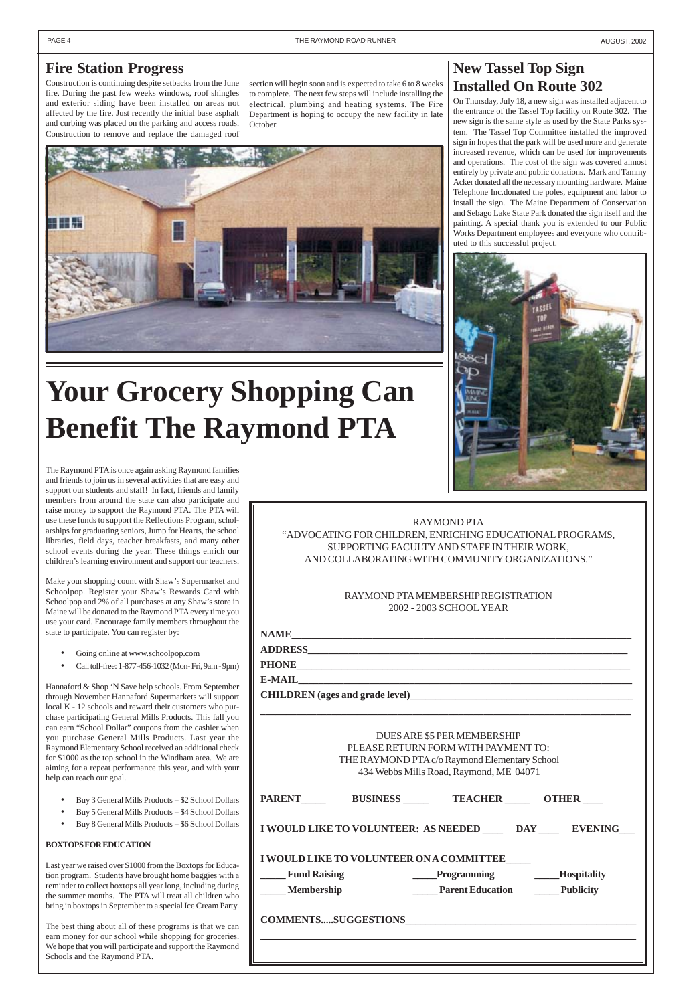### <span id="page-3-0"></span>**Fire Station Progress**

Construction is continuing despite setbacks from the June fire. During the past few weeks windows, roof shingles and exterior siding have been installed on areas not affected by the fire. Just recently the initial base asphalt and curbing was placed on the parking and access roads. Construction to remove and replace the damaged roof

### **New Tassel Top Sign Installed On Route 302**

On Thursday, July 18, a new sign was installed adjacent to the entrance of the Tassel Top facility on Route 302. The new sign is the same style as used by the State Parks system. The Tassel Top Committee installed the improved sign in hopes that the park will be used more and generate increased revenue, which can be used for improvements and operations. The cost of the sign was covered almost entirely by private and public donations. Mark and Tammy Acker donated all the necessary mounting hardware. Maine Telephone Inc.donated the poles, equipment and labor to install the sign. The Maine Department of Conservation and Sebago Lake State Park donated the sign itself and the painting. A special thank you is extended to our Public Works Department employees and everyone who contributed to this successful project.



# **Your Grocery Shopping Can Benefit The Raymond PTA**

#### RAYMOND PTA

"ADVOCATING FOR CHILDREN, ENRICHING EDUCATIONAL PROGRAMS, SUPPORTING FACULTY AND STAFF IN THEIR WORK, AND COLLABORATING WITH COMMUNITY ORGANIZATIONS."

> RAYMOND PTA MEMBERSHIP REGISTRATION 2002 - 2003 SCHOOL YEAR

**NAME\_\_\_\_\_\_\_\_\_\_\_\_\_\_\_\_\_\_\_\_\_\_\_\_\_\_\_\_\_\_\_\_\_\_\_\_\_\_\_\_\_\_\_\_\_\_\_\_\_\_\_\_\_\_\_\_\_\_\_\_\_\_\_\_\_\_\_**

**ADDRESS\_\_\_\_\_\_\_\_\_\_\_\_\_\_\_\_\_\_\_\_\_\_\_\_\_\_\_\_\_\_\_\_\_\_\_\_\_\_\_\_\_\_\_\_\_\_\_\_\_\_\_\_\_\_\_\_\_\_\_\_\_\_\_**

**PHONE\_\_\_\_\_\_\_\_\_\_\_\_\_\_\_\_\_\_\_\_\_\_\_\_\_\_\_\_\_\_\_\_\_\_\_\_\_\_\_\_\_\_\_\_\_\_\_\_\_\_\_\_\_\_\_\_\_\_\_\_\_\_\_\_\_\_**

**E-MAIL\_\_\_\_\_\_\_\_\_\_\_\_\_\_\_\_\_\_\_\_\_\_\_\_\_\_\_\_\_\_\_\_\_\_\_\_\_\_\_\_\_\_\_\_\_\_\_\_\_\_\_\_\_\_\_\_\_\_\_\_\_\_\_\_\_\_**

**CHILDREN (ages and grade level)\_\_\_\_\_\_\_\_\_\_\_\_\_\_\_\_\_\_\_\_\_\_\_\_\_\_\_\_\_\_\_\_\_\_\_\_\_\_\_\_\_\_\_\_**

**\_\_\_\_\_\_\_\_\_\_\_\_\_\_\_\_\_\_\_\_\_\_\_\_\_\_\_\_\_\_\_\_\_\_\_\_\_\_\_\_\_\_\_\_\_\_\_\_\_\_\_\_\_\_\_\_\_\_\_\_\_\_\_\_\_\_\_\_\_\_\_\_\_**

DUES ARE \$5 PER MEMBERSHIP PLEASE RETURN FORM WITH PAYMENT TO: THE RAYMOND PTA c/o Raymond Elementary School

| <u>HILL IN VEHICLED E TELO O INIȚIIOINI LIUIIUINII ȚOUNOU</u><br>434 Webbs Mills Road, Raymond, ME 04071 |                 |                                                              |                    |  |  |  |
|----------------------------------------------------------------------------------------------------------|-----------------|--------------------------------------------------------------|--------------------|--|--|--|
| <b>PARENT</b>                                                                                            | <b>BUSINESS</b> | <b>TEACHER OTHER</b>                                         |                    |  |  |  |
|                                                                                                          |                 | I WOULD LIKE TO VOLUNTEER: AS NEEDED _____ DAY _____ EVENING |                    |  |  |  |
|                                                                                                          |                 | <b>I WOULD LIKE TO VOLUNTEER ON A COMMITTEE</b>              |                    |  |  |  |
| <b>Fund Raising</b>                                                                                      |                 | <b>Example 18 Programming</b>                                | <b>Hospitality</b> |  |  |  |
| <b>Membership</b>                                                                                        |                 | <b>Example 2</b> Parent Education <b>Example 2</b> Publicity |                    |  |  |  |
|                                                                                                          |                 | COMMENTSSUGGESTIONS                                          |                    |  |  |  |
|                                                                                                          |                 |                                                              |                    |  |  |  |
|                                                                                                          |                 |                                                              |                    |  |  |  |

section will begin soon and is expected to take 6 to 8 weeks to complete. The next few steps will include installing the electrical, plumbing and heating systems. The Fire Department is hoping to occupy the new facility in late October.



The Raymond PTA is once again asking Raymond families and friends to join us in several activities that are easy and support our students and staff! In fact, friends and family members from around the state can also participate and raise money to support the Raymond PTA. The PTA will use these funds to support the Reflections Program, scholarships for graduating seniors, Jump for Hearts, the school libraries, field days, teacher breakfasts, and many other school events during the year. These things enrich our children's learning environment and support our teachers.

Make your shopping count with Shaw's Supermarket and Schoolpop. Register your Shaw's Rewards Card with Schoolpop and 2% of all purchases at any Shaw's store in Maine will be donated to the Raymond PTA every time you use your card. Encourage family members throughout the state to participate. You can register by:

- Going online at www.schoolpop.com
- Call toll-free: 1-877-456-1032 (Mon- Fri, 9am 9pm)

Hannaford & Shop 'N Save help schools. From September through November Hannaford Supermarkets will support local K - 12 schools and reward their customers who purchase participating General Mills Products. This fall you can earn "School Dollar" coupons from the cashier when you purchase General Mills Products. Last year the Raymond Elementary School received an additional check for \$1000 as the top school in the Windham area. We are aiming for a repeat performance this year, and with your help can reach our goal.

- Buy 3 General Mills Products = \$2 School Dollars
- Buy 5 General Mills Products = \$4 School Dollars
- Buy 8 General Mills Products = \$6 School Dollars

#### **BOXTOPS FOR EDUCATION**

Last year we raised over \$1000 from the Boxtops for Education program. Students have brought home baggies with a reminder to collect boxtops all year long, including during the summer months. The PTA will treat all children who bring in boxtops in September to a special Ice Cream Party.

The best thing about all of these programs is that we can earn money for our school while shopping for groceries. We hope that you will participate and support the Raymond Schools and the Raymond PTA.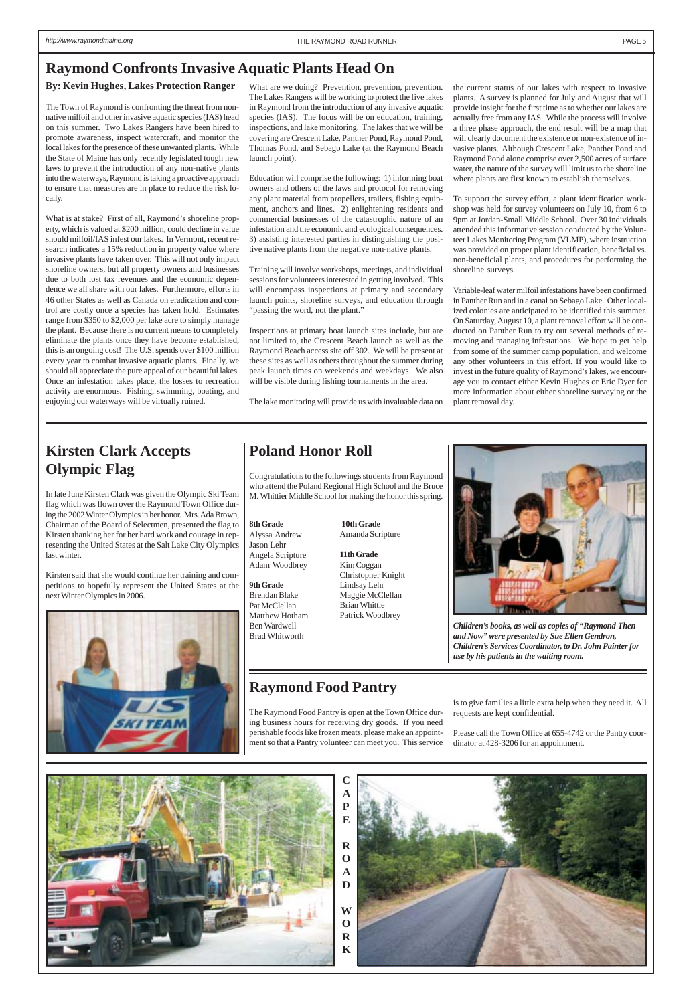### <span id="page-4-0"></span>**Raymond Confronts Invasive Aquatic Plants Head On**

#### **By: Kevin Hughes, Lakes Protection Ranger**

The Town of Raymond is confronting the threat from nonnative milfoil and other invasive aquatic species (IAS) head on this summer. Two Lakes Rangers have been hired to promote awareness, inspect watercraft, and monitor the local lakes for the presence of these unwanted plants. While the State of Maine has only recently legislated tough new laws to prevent the introduction of any non-native plants into the waterways, Raymond is taking a proactive approach to ensure that measures are in place to reduce the risk locally.

What is at stake? First of all, Raymond's shoreline property, which is valued at \$200 million, could decline in value should milfoil/IAS infest our lakes. In Vermont, recent research indicates a 15% reduction in property value where invasive plants have taken over. This will not only impact shoreline owners, but all property owners and businesses due to both lost tax revenues and the economic dependence we all share with our lakes. Furthermore, efforts in 46 other States as well as Canada on eradication and control are costly once a species has taken hold. Estimates range from \$350 to \$2,000 per lake acre to simply manage the plant. Because there is no current means to completely eliminate the plants once they have become established, this is an ongoing cost! The U.S. spends over \$100 million every year to combat invasive aquatic plants. Finally, we should all appreciate the pure appeal of our beautiful lakes. Once an infestation takes place, the losses to recreation activity are enormous. Fishing, swimming, boating, and enjoying our waterways will be virtually ruined.

What are we doing? Prevention, prevention, prevention. The Lakes Rangers will be working to protect the five lakes in Raymond from the introduction of any invasive aquatic species (IAS). The focus will be on education, training, inspections, and lake monitoring. The lakes that we will be covering are Crescent Lake, Panther Pond, Raymond Pond, Thomas Pond, and Sebago Lake (at the Raymond Beach launch point).

Education will comprise the following: 1) informing boat owners and others of the laws and protocol for removing any plant material from propellers, trailers, fishing equipment, anchors and lines. 2) enlightening residents and commercial businesses of the catastrophic nature of an infestation and the economic and ecological consequences. 3) assisting interested parties in distinguishing the positive native plants from the negative non-native plants.

Training will involve workshops, meetings, and individual sessions for volunteers interested in getting involved. This will encompass inspections at primary and secondary launch points, shoreline surveys, and education through "passing the word, not the plant."

Inspections at primary boat launch sites include, but are not limited to, the Crescent Beach launch as well as the Raymond Beach access site off 302. We will be present at these sites as well as others throughout the summer during peak launch times on weekends and weekdays. We also will be visible during fishing tournaments in the area.

The lake monitoring will provide us with invaluable data on

### **Kirsten Clark Accepts Olympic Flag**

In late June Kirsten Clark was given the Olympic Ski Team flag which was flown over the Raymond Town Office during the 2002 Winter Olympics in her honor. Mrs. Ada Brown, Chairman of the Board of Selectmen, presented the flag to Kirsten thanking her for her hard work and courage in representing the United States at the Salt Lake City Olympics last winter.

Kirsten said that she would continue her training and competitions to hopefully represent the United States at the next Winter Olympics in 2006.





*Children's books, as well as copies of "Raymond Then and Now" were presented by Sue Ellen Gendron, Children's Services Coordinator, to Dr. John Painter for use by his patients in the waiting room.*

### **Poland Honor Roll**

Congratulations to the followings students from Raymond who attend the Poland Regional High School and the Bruce M. Whittier Middle School for making the honor this spring.

the current status of our lakes with respect to invasive plants. A survey is planned for July and August that will provide insight for the first time as to whether our lakes are actually free from any IAS. While the process will involve a three phase approach, the end result will be a map that will clearly document the existence or non-existence of invasive plants. Although Crescent Lake, Panther Pond and Raymond Pond alone comprise over 2,500 acres of surface water, the nature of the survey will limit us to the shoreline where plants are first known to establish themselves.

To support the survey effort, a plant identification workshop was held for survey volunteers on July 10, from 6 to 9pm at Jordan-Small Middle School. Over 30 individuals attended this informative session conducted by the Volunteer Lakes Monitoring Program (VLMP), where instruction was provided on proper plant identification, beneficial vs. non-beneficial plants, and procedures for performing the shoreline surveys.

Variable-leaf water milfoil infestations have been confirmed in Panther Run and in a canal on Sebago Lake. Other localized colonies are anticipated to be identified this summer. On Saturday, August 10, a plant removal effort will be conducted on Panther Run to try out several methods of removing and managing infestations. We hope to get help from some of the summer camp population, and welcome any other volunteers in this effort. If you would like to invest in the future quality of Raymond's lakes, we encourage you to contact either Kevin Hughes or Eric Dyer for more information about either shoreline surveying or the plant removal day.



#### **8th Grade**

Alyssa Andrew Jason Lehr Angela Scripture Adam Woodbrey

**9th Grade** Brendan Blake Pat McClellan Matthew Hotham Ben Wardwell Brad Whitworth

**10th Grade** Amanda Scripture

**11th Grade** Kim Coggan Christopher Knight Lindsay Lehr Maggie McClellan Brian Whittle Patrick Woodbrey

### **Raymond Food Pantry**

The Raymond Food Pantry is open at the Town Office during business hours for receiving dry goods. If you need perishable foods like frozen meats, please make an appointment so that a Pantry volunteer can meet you. This service is to give families a little extra help when they need it. All requests are kept confidential.

Please call the Town Office at 655-4742 or the Pantry coordinator at 428-3206 for an appointment.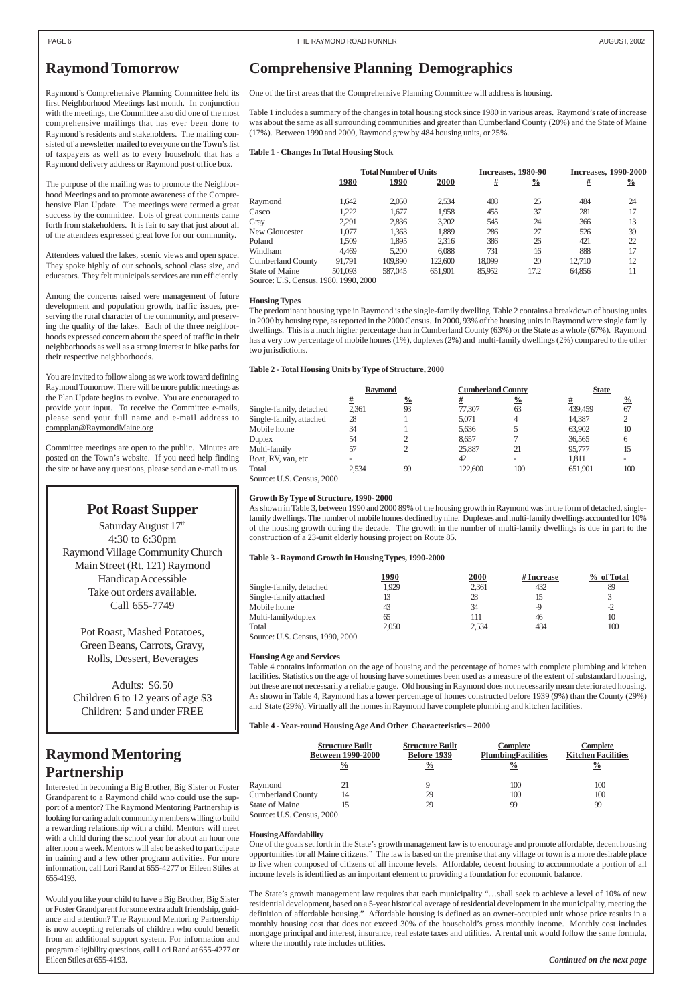### <span id="page-5-0"></span>**Raymond Tomorrow**

Raymond's Comprehensive Planning Committee held its first Neighborhood Meetings last month. In conjunction with the meetings, the Committee also did one of the most comprehensive mailings that has ever been done to Raymond's residents and stakeholders. The mailing consisted of a newsletter mailed to everyone on the Town's list of taxpayers as well as to every household that has a Raymond delivery address or Raymond post office box.

The purpose of the mailing was to promote the Neighborhood Meetings and to promote awareness of the Comprehensive Plan Update. The meetings were termed a great success by the committee. Lots of great comments came forth from stakeholders. It is fair to say that just about all of the attendees expressed great love for our community.

Attendees valued the lakes, scenic views and open space. They spoke highly of our schools, school class size, and educators. They felt municipals services are run efficiently.

Among the concerns raised were management of future development and population growth, traffic issues, preserving the rural character of the community, and preserving the quality of the lakes. Each of the three neighborhoods expressed concern about the speed of traffic in their neighborhoods as well as a strong interest in bike paths for their respective neighborhoods.

You are invited to follow along as we work toward defining Raymond Tomorrow. There will be more public meetings as the Plan Update begins to evolve. You are encouraged to provide your input. To receive the Committee e-mails, please send your full name and e-mail address to compplan@RaymondMaine.org

Committee meetings are open to the public. Minutes are posted on the Town's website. If you need help finding the site or have any questions, please send an e-mail to us.

### **Comprehensive Planning Demographics**

One of the first areas that the Comprehensive Planning Committee will address is housing.

Table 1 includes a summary of the changes in total housing stock since 1980 in various areas. Raymond's rate of increase was about the same as all surrounding communities and greater than Cumberland County (20%) and the State of Maine (17%). Between 1990 and 2000, Raymond grew by 484 housing units, or 25%.

#### **Table 1 - Changes In Total Housing Stock**

|                                       | <b>Total Number of Units</b> |         |             | <b>Increases, 1980-90</b> |               | <b>Increases, 1990-2000</b> |               |
|---------------------------------------|------------------------------|---------|-------------|---------------------------|---------------|-----------------------------|---------------|
|                                       | 1980                         | 1990    | <b>2000</b> | <u>#</u>                  | $\frac{0}{0}$ | <u>#</u>                    | $\frac{0}{0}$ |
| Raymond                               | 1.642                        | 2,050   | 2,534       | 408                       | 25            | 484                         | 24            |
| Casco                                 | 1.222                        | 1.677   | 1,958       | 455                       | 37            | 281                         | 17            |
| Gray                                  | 2.291                        | 2,836   | 3,202       | 545                       | 24            | 366                         | 13            |
| New Gloucester                        | 1.077                        | 1.363   | 1,889       | 286                       | 27            | 526                         | 39            |
| Poland                                | 1.509                        | 1.895   | 2,316       | 386                       | 26            | 421                         | 22            |
| Windham                               | 4.469                        | 5.200   | 6.088       | 731                       | 16            | 888                         | 17            |
| <b>Cumberland County</b>              | 91.791                       | 109,890 | 122,600     | 18,099                    | 20            | 12.710                      | 12            |
| State of Maine                        | 501,093                      | 587,045 | 651.901     | 85,952                    | 17.2          | 64,856                      | 11            |
| Source: U.S. Census, 1980, 1990, 2000 |                              |         |             |                           |               |                             |               |

#### **Housing Types**

The predominant housing type in Raymond is the single-family dwelling. Table 2 contains a breakdown of housing units in 2000 by housing type, as reported in the 2000 Census. In 2000, 93% of the housing units in Raymond were single family dwellings. This is a much higher percentage than in Cumberland County (63%) or the State as a whole (67%). Raymond has a very low percentage of mobile homes (1%), duplexes (2%) and multi-family dwellings (2%) compared to the other two jurisdictions.

#### **Table 2 - Total Housing Units by Type of Structure, 2000**

|                                              | <b>Raymond</b> |               | <b>Cumberland County</b> |               | <b>State</b> |               |
|----------------------------------------------|----------------|---------------|--------------------------|---------------|--------------|---------------|
|                                              | #              | $\frac{0}{0}$ | #                        | $\frac{0}{0}$ | #            | $\frac{0}{0}$ |
| Single-family, detached                      | 2.361          | 93            | 77.307                   | 63            | 439,459      | 67            |
| Single-family, attached                      | 28             |               | 5.071                    |               | 14,387       |               |
| Mobile home                                  | 34             |               | 5,636                    |               | 63,902       | 10            |
| <b>Duplex</b>                                | 54             |               | 8.657                    |               | 36,565       | 6             |
| Multi-family                                 | 57             |               | 25,887                   | 21            | 95,777       | 15            |
| Boat, RV, van, etc                           |                |               | 42                       |               | 1.811        |               |
| Total                                        | 2.534          | 99            | 122,600                  | 100           | 651.901      | 100           |
| $C_{\text{out}}$ II $C_{\text{on}}$ $\gamma$ |                |               |                          |               |              |               |

Source: U.S. Census, 2000

#### **Growth By Type of Structure, 1990- 2000**

Saturday August 17th 4:30 to 6:30pm Raymond Village Community Church Main Street (Rt. 121) Raymond Handicap Accessible Take out orders available. Call 655-7749

As shown in Table 3, between 1990 and 2000 89% of the housing growth in Raymond was in the form of detached, singlefamily dwellings. The number of mobile homes declined by nine. Duplexes and multi-family dwellings accounted for 10% of the housing growth during the decade. The growth in the number of multi-family dwellings is due in part to the construction of a 23-unit elderly housing project on Route 85.

#### **Table 3 - Raymond Growth in Housing Types, 1990-2000**

|                                 | 1990  | <u>2000</u> | # Increase | % of Total |
|---------------------------------|-------|-------------|------------|------------|
| Single-family, detached         | 1.929 | 2,361       | 432        | 89         |
| Single-family attached          | 13    | 28          |            |            |
| Mobile home                     | 43    | 34          | -9         | $-2$       |
| Multi-family/duplex             | 65    | 111         | 46         | 10         |
| Total                           | 2.050 | 2.534       | 484        | 100        |
| Source: U.S. Census, 1990, 2000 |       |             |            |            |

#### **Housing Age and Services**

Table 4 contains information on the age of housing and the percentage of homes with complete plumbing and kitchen facilities. Statistics on the age of housing have sometimes been used as a measure of the extent of substandard housing, but these are not necessarily a reliable gauge. Old housing in Raymond does not necessarily mean deteriorated housing. As shown in Table 4, Raymond has a lower percentage of homes constructed before 1939 (9%) than the County (29%) and State (29%). Virtually all the homes in Raymond have complete plumbing and kitchen facilities.

#### **Table 4 - Year-round Housing Age And Other Characteristics – 2000**

| <b>Structure Built</b>   | <b>Structure Built</b> | <b>Complete</b>           | <b>Complete</b>           |
|--------------------------|------------------------|---------------------------|---------------------------|
| <b>Between 1990-2000</b> | Before 1939            | <b>PlumbingFacilities</b> | <b>Kitchen Facilities</b> |

|                                             | $\frac{0}{0}$ | $\frac{0}{0}$ | $\frac{6}{6}$ | $\frac{0}{0}$ |
|---------------------------------------------|---------------|---------------|---------------|---------------|
| Raymond                                     |               |               | 100           | 100           |
| <b>Cumberland County</b>                    | 14            | 29            | 100           | 100           |
| State of Maine<br>Source: U.S. Census, 2000 |               | 29            | 99            | 99            |

#### **Housing Affordability**

One of the goals set forth in the State's growth management law is to encourage and promote affordable, decent housing opportunities for all Maine citizens." The law is based on the premise that any village or town is a more desirable place to live when composed of citizens of all income levels. Affordable, decent housing to accommodate a portion of all income levels is identified as an important element to providing a foundation for economic balance.

The State's growth management law requires that each municipality "…shall seek to achieve a level of 10% of new residential development, based on a 5-year historical average of residential development in the municipality, meeting the definition of affordable housing." Affordable housing is defined as an owner-occupied unit whose price results in a monthly housing cost that does not exceed 30% of the household's gross monthly income. Monthly cost includes mortgage principal and interest, insurance, real estate taxes and utilities. A rental unit would follow the same formula, where the monthly rate includes utilities.

### **Raymond Mentoring**

## **Partnership**

Interested in becoming a Big Brother, Big Sister or Foster Grandparent to a Raymond child who could use the support of a mentor? The Raymond Mentoring Partnership is looking for caring adult community members willing to build a rewarding relationship with a child. Mentors will meet with a child during the school year for about an hour one afternoon a week. Mentors will also be asked to participate in training and a few other program activities. For more information, call Lori Rand at 655-4277 or Eileen Stiles at 655-4193.

Would you like your child to have a Big Brother, Big Sister or Foster Grandparent for some extra adult friendship, guidance and attention? The Raymond Mentoring Partnership is now accepting referrals of children who could benefit from an additional support system. For information and program eligibility questions, call Lori Rand at 655-4277 or Eileen Stiles at 655-4193.

### **Pot Roast Supper**

Pot Roast, Mashed Potatoes, Green Beans, Carrots, Gravy, Rolls, Dessert, Beverages

Adults: \$6.50 Children 6 to 12 years of age \$3 Children: 5 and under FREE

*Continued on the next page*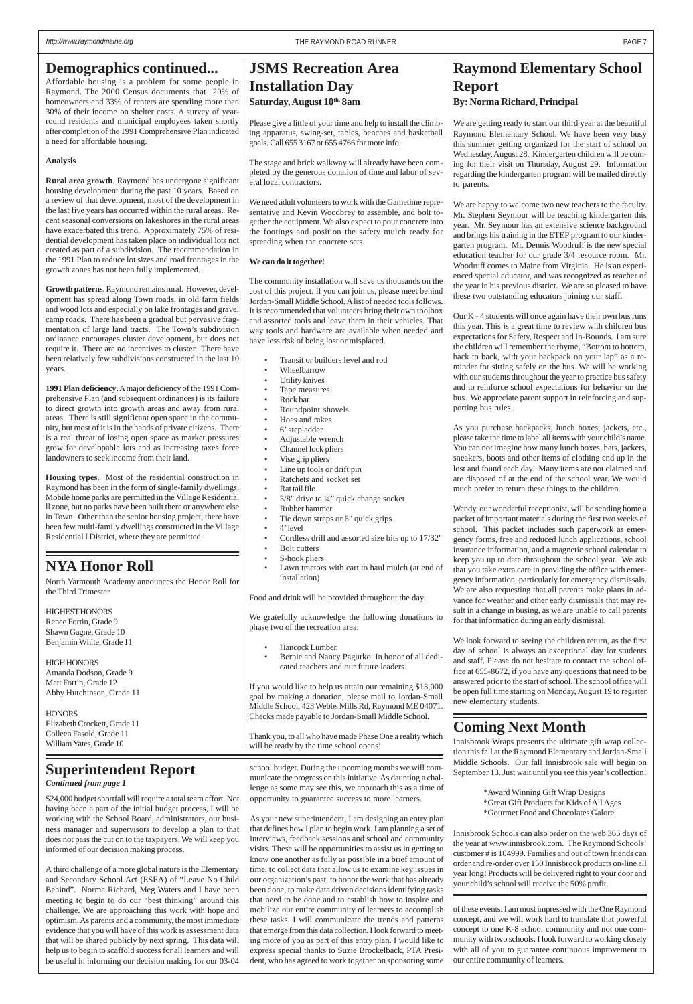\$24,000 budget shortfall will require a total team effort. Not having been a part of the initial budget process, I will be working with the School Board, administrators, our business manager and supervisors to develop a plan to that does not pass the cut on to the taxpayers. We will keep you informed of our decision making process.

A third challenge of a more global nature is the Elementary and Secondary School Act (ESEA) of "Leave No Child Behind". Norma Richard, Meg Waters and I have been meeting to begin to do our "best thinking" around this challenge. We are approaching this work with hope and optimism. As parents and a community, the most immediate evidence that you will have of this work is assessment data that will be shared publicly by next spring. This data will help us to begin to scaffold success for all learners and will be useful in informing our decision making for our 03-04

Affordable housing is a problem for some people in Raymond. The 2000 Census documents that 20% of homeowners and 33% of renters are spending more than 30% of their income on shelter costs. A survey of yearround residents and municipal employees taken shortly after completion of the 1991 Comprehensive Plan indicated a need for affordable housing.

#### **Analysis**

### **JSMS Recreation Area Installation Day** Saturday, August  $10<sup>th</sup>$ , 8am

**Rural area growth**. Raymond has undergone significant housing development during the past 10 years. Based on a review of that development, most of the development in the last five years has occurred within the rural areas. Recent seasonal conversions on lakeshores in the rural areas have exacerbated this trend. Approximately 75% of residential development has taken place on individual lots not created as part of a subdivision. The recommendation in the 1991 Plan to reduce lot sizes and road frontages in the growth zones has not been fully implemented.

**Growth patterns**. Raymond remains rural. However, development has spread along Town roads, in old farm fields and wood lots and especially on lake frontages and gravel camp roads. There has been a gradual but pervasive fragmentation of large land tracts. The Town's subdivision ordinance encourages cluster development, but does not require it. There are no incentives to cluster. There have been relatively few subdivisions constructed in the last 10 years.

**1991 Plan deficiency**. A major deficiency of the 1991 Comprehensive Plan (and subsequent ordinances) is its failure to direct growth into growth areas and away from rural areas. There is still significant open space in the community, but most of it is in the hands of private citizens. There is a real threat of losing open space as market pressures grow for developable lots and as increasing taxes force landowners to seek income from their land.

> Thank you, to all who have made Phase One a reality which will be ready by the time school opens!

**Housing types**. Most of the residential construction in Raymond has been in the form of single-family dwellings. Mobile home parks are permitted in the Village Residential ll zone, but no parks have been built there or anywhere else in Town. Other than the senior housing project, there have been few multi-family dwellings constructed in the Village Residential I District, where they are permitted.

Please give a little of your time and help to install the climbing apparatus, swing-set, tables, benches and basketball goals. Call 655 3167 or 655 4766 for more info.

The stage and brick walkway will already have been completed by the generous donation of time and labor of several local contractors.

We need adult volunteers to work with the Gametime representative and Kevin Woodbrey to assemble, and bolt together the equipment. We also expect to pour concrete into the footings and position the safety mulch ready for spreading when the concrete sets.

#### **We can do it together!**

The community installation will save us thousands on the cost of this project. If you can join us, please meet behind Jordan-Small Middle School. A list of needed tools follows. It is recommended that volunteers bring their own toolbox and assorted tools and leave them in their vehicles. That way tools and hardware are available when needed and have less risk of being lost or misplaced.

**HIGH HONORS** Amanda Dodson, Grade 9 Matt Fortin, Grade 12 Abby Hutchinson, Grade 11

**HONORS** Elizabeth Crockett, Grade 11 Colleen Fasold, Grade 11 William Yates, Grade 10

- Transit or builders level and rod
- Wheelbarrow
- Utility knives
- Tape measures
- Rock bar
- Roundpoint shovels
- Hoes and rakes
- 6' stepladder
- Adjustable wrench
- Channel lock pliers
- Vise grip pliers
- Line up tools or drift pin
- Ratchets and socket set
- Rat tail file
- 3/8" drive to ¼" quick change socket
- Rubber hammer
- Tie down straps or 6" quick grips
- 4' level
- Cordless drill and assorted size bits up to 17/32"
- Bolt cutters
- S-hook pliers Lawn tractors with cart to haul mulch (at end of installation)

Food and drink will be provided throughout the day.

We gratefully acknowledge the following donations to phase two of the recreation area:

- Hancock Lumber.
- Bernie and Nancy Pagurko: In honor of all dedicated teachers and our future leaders.

If you would like to help us attain our remaining \$13,000 goal by making a donation, please mail to Jordan-Small Middle School, 423 Webbs Mills Rd, Raymond ME 04071. Checks made payable to Jordan-Small Middle School.

### **Raymond Elementary School Report By: Norma Richard, Principal**

We are getting ready to start our third year at the beautiful Raymond Elementary School. We have been very busy this summer getting organized for the start of school on Wednesday, August 28. Kindergarten children will be coming for their visit on Thursday, August 29. Information regarding the kindergarten program will be mailed directly to parents.

We are happy to welcome two new teachers to the faculty. Mr. Stephen Seymour will be teaching kindergarten this year. Mr. Seymour has an extensive science background and brings his training in the ETEP program to our kindergarten program. Mr. Dennis Woodruff is the new special education teacher for our grade 3/4 resource room. Mr. Woodruff comes to Maine from Virginia. He is an experienced special educator, and was recognized as teacher of the year in his previous district. We are so pleased to have these two outstanding educators joining our staff.

Our K - 4 students will once again have their own bus runs this year. This is a great time to review with children bus expectations for Safety, Respect and In-Bounds. I am sure the children will remember the rhyme, "Bottom to bottom, back to back, with your backpack on your lap" as a reminder for sitting safely on the bus. We will be working with our students throughout the year to practice bus safety and to reinforce school expectations for behavior on the bus. We appreciate parent support in reinforcing and supporting bus rules.

As you purchase backpacks, lunch boxes, jackets, etc., please take the time to label all items with your child's name. You can not imagine how many lunch boxes, hats, jackets, sneakers, boots and other items of clothing end up in the lost and found each day. Many items are not claimed and are disposed of at the end of the school year. We would much prefer to return these things to the children.

Wendy, our wonderful receptionist, will be sending home a packet of important materials during the first two weeks of school. This packet includes such paperwork as emergency forms, free and reduced lunch applications, school insurance information, and a magnetic school calendar to keep you up to date throughout the school year. We ask that you take extra care in providing the office with emergency information, particularly for emergency dismissals. We are also requesting that all parents make plans in advance for weather and other early dismissals that may result in a change in busing, as we are unable to call parents for that information during an early dismissal.

We look forward to seeing the children return, as the first day of school is always an exceptional day for students and staff. Please do not hesitate to contact the school office at 655-8672, if you have any questions that need to be answered prior to the start of school. The school office will be open full time starting on Monday, August 19 to register new elementary students.

### *Continued from page 1* **Superintendent Report**

### **NYA Honor Roll**

North Yarmouth Academy announces the Honor Roll for the Third Trimester.

HIGHEST HONORS Renee Fortin, Grade 9 Shawn Gagne, Grade 10 Benjamin White, Grade 11

> school budget. During the upcoming months we will communicate the progress on this initiative. As daunting a challenge as some may see this, we approach this as a time of opportunity to guarantee success to more learners.

As your new superintendent, I am designing an entry plan that defines how I plan to begin work. I am planning a set of interviews, feedback sessions and school and community visits. These will be opportunities to assist us in getting to know one another as fully as possible in a brief amount of time, to collect data that allow us to examine key issues in our organization's past, to honor the work that has already been done, to make data driven decisions identifying tasks that need to be done and to establish how to inspire and mobilize our entire community of learners to accomplish these tasks. I will communicate the trends and patterns that emerge from this data collection. I look forward to meeting more of you as part of this entry plan. I would like to express special thanks to Suzie Brockelback, PTA President, who has agreed to work together on sponsoring some

of these events. I am most impressed with the One Raymond concept, and we will work hard to translate that powerful concept to one K-8 school community and not one community with two schools. I look forward to working closely with all of you to guarantee continuous improvement to our entire community of learners.

### **Coming Next Month**

Innisbrook Wraps presents the ultimate gift wrap collection this fall at the Raymond Elementary and Jordan-Small Middle Schools. Our fall Innisbrook sale will begin on September 13. Just wait until you see this year's collection!

> \*Award Winning Gift Wrap Designs \*Great Gift Products for Kids of All Ages \*Gourmet Food and Chocolates Galore

Innisbrook Schools can also order on the web 365 days of the year at www.innisbrook.com. The Raymond Schools' customer # is 104999. Families and out of town friends can order and re-order over 150 Innisbrook products on-line all year long! Products will be delivered right to your door and your child's school will receive the 50% profit.

### <span id="page-6-0"></span>**Demographics continued...**